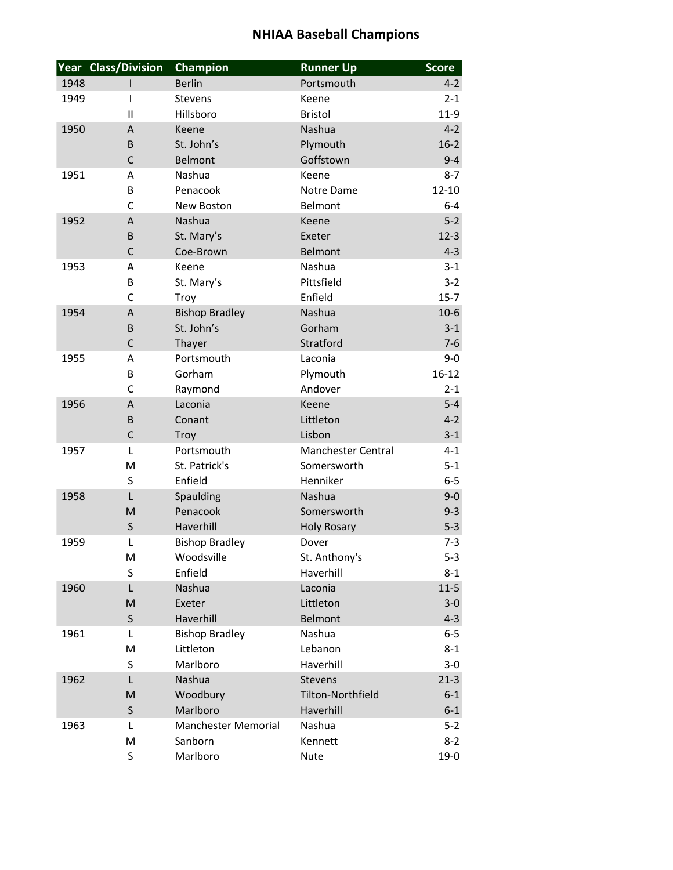|      | <b>Year Class/Division</b> | <b>Champion</b>            | <b>Runner Up</b>          | <b>Score</b> |
|------|----------------------------|----------------------------|---------------------------|--------------|
| 1948 |                            | <b>Berlin</b>              | Portsmouth                | $4 - 2$      |
| 1949 | $\mathsf{I}$               | <b>Stevens</b>             | Keene                     | $2 - 1$      |
|      | $\mathbf{I}$               | Hillsboro                  | <b>Bristol</b>            | $11-9$       |
| 1950 | A                          | Keene                      | Nashua                    | $4 - 2$      |
|      | B                          | St. John's                 | Plymouth                  | $16-2$       |
|      | $\mathsf{C}$               | Belmont                    | Goffstown                 | $9 - 4$      |
| 1951 | Α                          | Nashua                     | Keene                     | $8 - 7$      |
|      | B                          | Penacook                   | Notre Dame                | $12 - 10$    |
|      | $\mathsf{C}$               | <b>New Boston</b>          | Belmont                   | $6 - 4$      |
| 1952 | $\boldsymbol{\mathsf{A}}$  | Nashua                     | Keene                     | $5-2$        |
|      | B                          | St. Mary's                 | Exeter                    | $12-3$       |
|      | $\mathsf{C}$               | Coe-Brown                  | <b>Belmont</b>            | $4 - 3$      |
| 1953 | A                          | Keene                      | Nashua                    | $3 - 1$      |
|      | B                          | St. Mary's                 | Pittsfield                | $3 - 2$      |
|      | $\mathsf{C}$               | Troy                       | Enfield                   | $15 - 7$     |
| 1954 | A                          | <b>Bishop Bradley</b>      | Nashua                    | $10-6$       |
|      | B                          | St. John's                 | Gorham                    | $3 - 1$      |
|      | $\mathsf{C}$               | Thayer                     | Stratford                 | $7-6$        |
| 1955 | А                          | Portsmouth                 | Laconia                   | $9-0$        |
|      | B                          | Gorham                     | Plymouth                  | $16 - 12$    |
|      | $\mathsf{C}$               | Raymond                    | Andover                   | $2 - 1$      |
| 1956 | A                          | Laconia                    | Keene                     | $5 - 4$      |
|      | B                          | Conant                     | Littleton                 | $4 - 2$      |
|      | $\mathsf C$                | Troy                       | Lisbon                    | $3 - 1$      |
| 1957 | L                          | Portsmouth                 | <b>Manchester Central</b> | $4 - 1$      |
|      | M                          | St. Patrick's              | Somersworth               | $5 - 1$      |
|      | S                          | Enfield                    | Henniker                  | $6-5$        |
| 1958 | $\mathsf{L}$               | Spaulding                  | Nashua                    | $9 - 0$      |
|      | M                          | Penacook                   | Somersworth               | $9 - 3$      |
|      | S                          | Haverhill                  | <b>Holy Rosary</b>        | $5 - 3$      |
| 1959 | L                          | <b>Bishop Bradley</b>      | Dover                     | $7 - 3$      |
|      | M                          | Woodsville                 | St. Anthony's             | $5 - 3$      |
|      | S                          | Enfield                    | Haverhill                 | $8 - 1$      |
| 1960 | L                          | Nashua                     | Laconia                   | $11-5$       |
|      | M                          | Exeter                     | Littleton                 | $3-0$        |
|      | S                          | Haverhill                  | <b>Belmont</b>            | $4 - 3$      |
| 1961 | L                          | <b>Bishop Bradley</b>      | Nashua                    | $6-5$        |
|      | M                          | Littleton                  | Lebanon                   | $8 - 1$      |
|      | S                          | Marlboro                   | Haverhill                 | $3 - 0$      |
| 1962 | L                          | Nashua                     | <b>Stevens</b>            | $21-3$       |
|      | M                          | Woodbury                   | Tilton-Northfield         | $6 - 1$      |
|      | $\sf S$                    | Marlboro                   | Haverhill                 | $6 - 1$      |
| 1963 | L                          | <b>Manchester Memorial</b> | Nashua                    | $5 - 2$      |
|      | M                          | Sanborn                    | Kennett                   | $8 - 2$      |
|      | S                          | Marlboro                   | <b>Nute</b>               | $19-0$       |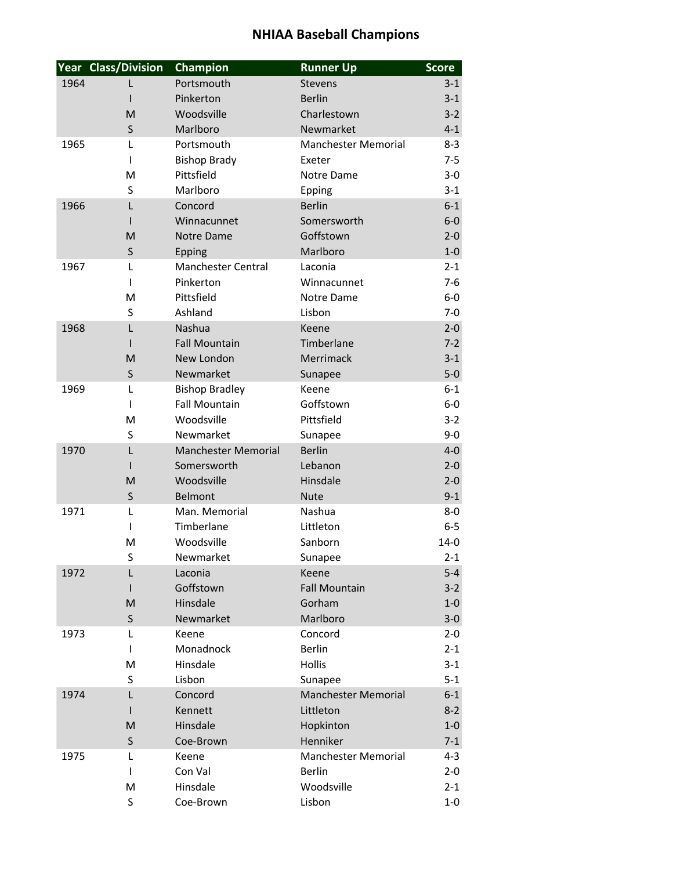|      | <b>Year Class/Division</b> | Champion                   | <b>Runner Up</b>           | <b>Score</b> |
|------|----------------------------|----------------------------|----------------------------|--------------|
| 1964 |                            | Portsmouth                 | Stevens                    | $3 - 1$      |
|      |                            | Pinkerton                  | <b>Berlin</b>              | $3 - 1$      |
|      | M                          | Woodsville                 | Charlestown                | $3 - 2$      |
|      | $\sf S$                    | Marlboro                   | Newmarket                  | $4 - 1$      |
| 1965 | L                          | Portsmouth                 | <b>Manchester Memorial</b> | $8 - 3$      |
|      | $\mathbf{I}$               | <b>Bishop Brady</b>        | Exeter                     | $7 - 5$      |
|      | M                          | Pittsfield                 | Notre Dame                 | $3-0$        |
|      | S                          | Marlboro                   | Epping                     | $3 - 1$      |
| 1966 | $\mathsf{L}$               | Concord                    | <b>Berlin</b>              | $6-1$        |
|      |                            | Winnacunnet                | Somersworth                | $6-0$        |
|      | M                          | <b>Notre Dame</b>          | Goffstown                  | $2 - 0$      |
|      | S                          | Epping                     | Marlboro                   | $1-0$        |
| 1967 | L                          | <b>Manchester Central</b>  | Laconia                    | $2 - 1$      |
|      | $\mathbf{I}$               | Pinkerton                  | Winnacunnet                | $7-6$        |
|      | M                          | Pittsfield                 | Notre Dame                 | $6-0$        |
|      | S                          | Ashland                    | Lisbon                     | $7 - 0$      |
| 1968 | $\mathsf{L}$               | <b>Nashua</b>              | Keene                      | $2 - 0$      |
|      | $\mathbf{I}$               | <b>Fall Mountain</b>       | Timberlane                 | $7-2$        |
|      | M                          | New London                 | Merrimack                  | $3 - 1$      |
|      | S                          | Newmarket                  | Sunapee                    | $5-0$        |
| 1969 | L                          | <b>Bishop Bradley</b>      | Keene                      | $6 - 1$      |
|      | $\mathbf{I}$               | <b>Fall Mountain</b>       | Goffstown                  | $6-0$        |
|      | M                          | Woodsville                 | Pittsfield                 | $3 - 2$      |
|      | S                          | Newmarket                  | Sunapee                    | $9 - 0$      |
| 1970 | L                          | <b>Manchester Memorial</b> | <b>Berlin</b>              | $4 - 0$      |
|      | L                          | Somersworth                | Lebanon                    | $2 - 0$      |
|      | M                          | Woodsville                 | Hinsdale                   | $2 - 0$      |
|      | $\sf S$                    | Belmont                    | <b>Nute</b>                | $9 - 1$      |
| 1971 | L                          | Man. Memorial              | Nashua                     | $8-0$        |
|      | $\mathsf{l}$               | Timberlane                 | Littleton                  | $6-5$        |
|      | M                          | Woodsville                 | Sanborn                    | $14 - 0$     |
|      | S                          | Newmarket                  | Sunapee                    | $2 - 1$      |
| 1972 | L                          | Laconia                    | Keene                      | $5 - 4$      |
|      |                            | Goffstown                  | <b>Fall Mountain</b>       | $3 - 2$      |
|      | M                          | Hinsdale                   | Gorham                     | $1-0$        |
|      | S                          | Newmarket                  | Marlboro                   | $3-0$        |
| 1973 | L                          | Keene                      | Concord                    | $2 - 0$      |
|      | L                          | Monadnock                  | <b>Berlin</b>              | $2 - 1$      |
|      | M                          | Hinsdale                   | <b>Hollis</b>              | $3 - 1$      |
|      | S                          | Lisbon                     | Sunapee                    | $5 - 1$      |
| 1974 | L                          | Concord                    | <b>Manchester Memorial</b> | $6 - 1$      |
|      |                            | Kennett                    | Littleton                  | $8 - 2$      |
|      | M                          | Hinsdale                   | Hopkinton                  | $1-0$        |
|      | $\sf S$                    | Coe-Brown                  | Henniker                   | $7 - 1$      |
| 1975 | L                          | Keene                      | <b>Manchester Memorial</b> | $4 - 3$      |
|      | L                          | Con Val                    | <b>Berlin</b>              | $2 - 0$      |
|      | M                          | Hinsdale                   | Woodsville                 | $2 - 1$      |
|      | S                          | Coe-Brown                  | Lisbon                     | $1-0$        |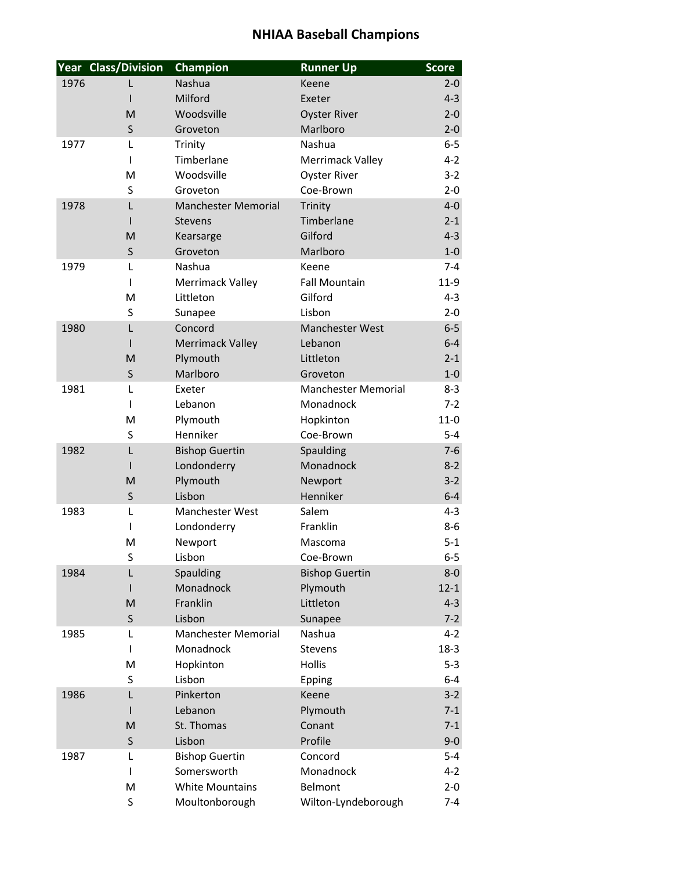|      | <b>Year Class/Division</b> | Champion                   | <b>Runner Up</b>           | <b>Score</b> |
|------|----------------------------|----------------------------|----------------------------|--------------|
| 1976 |                            | Nashua                     | Keene                      | $2 - 0$      |
|      |                            | Milford                    | Exeter                     | $4 - 3$      |
|      | M                          | Woodsville                 | <b>Oyster River</b>        | $2 - 0$      |
|      | $\sf S$                    | Groveton                   | Marlboro                   | $2 - 0$      |
| 1977 | L                          | Trinity                    | Nashua                     | $6-5$        |
|      | I                          | Timberlane                 | Merrimack Valley           | $4 - 2$      |
|      | M                          | Woodsville                 | <b>Oyster River</b>        | $3 - 2$      |
|      | S                          | Groveton                   | Coe-Brown                  | $2 - 0$      |
| 1978 | L                          | <b>Manchester Memorial</b> | Trinity                    | $4-0$        |
|      |                            | <b>Stevens</b>             | Timberlane                 | $2 - 1$      |
|      | M                          | Kearsarge                  | Gilford                    | $4 - 3$      |
|      | S                          | Groveton                   | Marlboro                   | $1-0$        |
| 1979 | L                          | Nashua                     | Keene                      | $7 - 4$      |
|      | $\mathbf{I}$               | Merrimack Valley           | <b>Fall Mountain</b>       | $11-9$       |
|      | M                          | Littleton                  | Gilford                    | $4 - 3$      |
|      | S                          | Sunapee                    | Lisbon                     | $2 - 0$      |
| 1980 | L                          | Concord                    | <b>Manchester West</b>     | $6-5$        |
|      |                            | <b>Merrimack Valley</b>    | Lebanon                    | $6 - 4$      |
|      | M                          | Plymouth                   | Littleton                  | $2 - 1$      |
|      | S                          | Marlboro                   | Groveton                   | $1-0$        |
| 1981 | L                          | Exeter                     | <b>Manchester Memorial</b> | $8 - 3$      |
|      | $\mathbf{I}$               | Lebanon                    | Monadnock                  | $7 - 2$      |
|      | M                          | Plymouth                   | Hopkinton                  | $11-0$       |
|      | S                          | Henniker                   | Coe-Brown                  | $5-4$        |
| 1982 | L                          | <b>Bishop Guertin</b>      | Spaulding                  | $7-6$        |
|      | L                          | Londonderry                | Monadnock                  | $8 - 2$      |
|      | M                          | Plymouth                   | Newport                    | $3 - 2$      |
|      | $\sf S$                    | Lisbon                     | Henniker                   | $6 - 4$      |
| 1983 | L                          | Manchester West            | Salem                      | $4 - 3$      |
|      | $\mathsf{l}$               | Londonderry                | Franklin                   | $8 - 6$      |
|      | M                          | Newport                    | Mascoma                    | $5 - 1$      |
|      | S                          | Lisbon                     | Coe-Brown                  | $6-5$        |
| 1984 | L                          | Spaulding                  | <b>Bishop Guertin</b>      | $8-0$        |
|      | $\mathbf{I}$               | Monadnock                  | Plymouth                   | $12 - 1$     |
|      | M                          | Franklin                   | Littleton                  | $4 - 3$      |
|      | S                          | Lisbon                     | Sunapee                    | $7 - 2$      |
| 1985 | L                          | <b>Manchester Memorial</b> | Nashua                     | $4 - 2$      |
|      | I                          | Monadnock                  | <b>Stevens</b>             | $18-3$       |
|      | M                          | Hopkinton                  | Hollis                     | $5 - 3$      |
|      | S                          | Lisbon                     | Epping                     | $6 - 4$      |
| 1986 | L                          | Pinkerton                  | Keene                      | $3 - 2$      |
|      |                            | Lebanon                    | Plymouth                   | $7-1$        |
|      | M                          | St. Thomas                 | Conant                     | $7-1$        |
|      | $\sf S$                    | Lisbon                     | Profile                    | $9 - 0$      |
| 1987 | L                          | <b>Bishop Guertin</b>      | Concord                    | $5 - 4$      |
|      | L                          | Somersworth                | Monadnock                  | $4 - 2$      |
|      | M                          | <b>White Mountains</b>     | Belmont                    | $2 - 0$      |
|      | S                          | Moultonborough             | Wilton-Lyndeborough        | $7 - 4$      |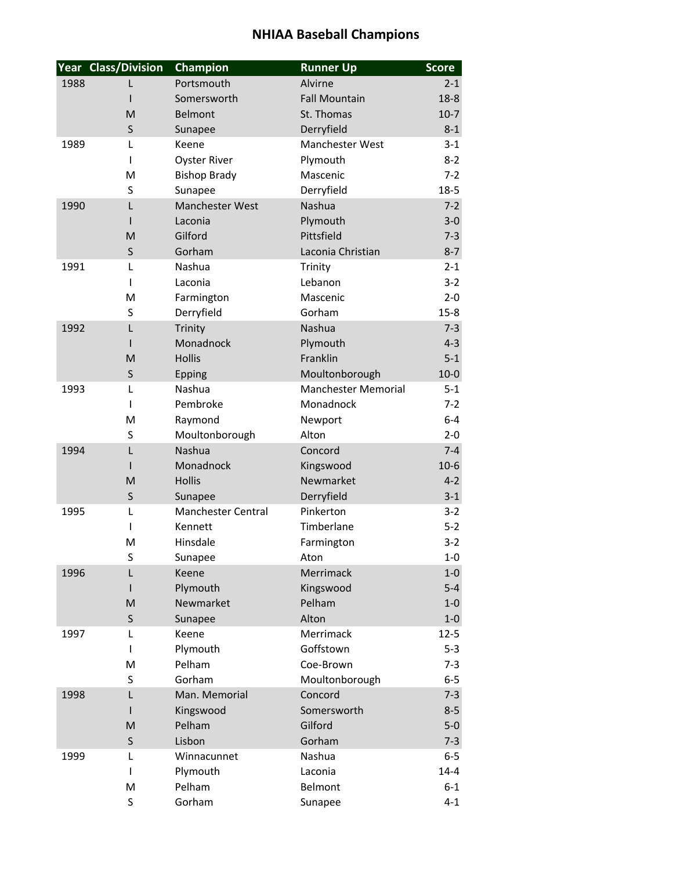|      | <b>Year Class/Division</b> | Champion                  | <b>Runner Up</b>           | <b>Score</b> |
|------|----------------------------|---------------------------|----------------------------|--------------|
| 1988 |                            | Portsmouth                | Alvirne                    | $2 - 1$      |
|      |                            | Somersworth               | <b>Fall Mountain</b>       | $18 - 8$     |
|      | M                          | <b>Belmont</b>            | St. Thomas                 | $10-7$       |
|      | $\sf S$                    | Sunapee                   | Derryfield                 | $8 - 1$      |
| 1989 | L                          | Keene                     | Manchester West            | $3-1$        |
|      | $\mathbf{I}$               | <b>Oyster River</b>       | Plymouth                   | $8 - 2$      |
|      | M                          | <b>Bishop Brady</b>       | Mascenic                   | $7 - 2$      |
|      | S                          | Sunapee                   | Derryfield                 | $18 - 5$     |
| 1990 | $\mathsf{L}$               | Manchester West           | Nashua                     | $7 - 2$      |
|      |                            | Laconia                   | Plymouth                   | $3 - 0$      |
|      | M                          | Gilford                   | Pittsfield                 | $7 - 3$      |
|      | S                          | Gorham                    | Laconia Christian          | $8 - 7$      |
| 1991 | L                          | Nashua                    | Trinity                    | $2 - 1$      |
|      | L                          | Laconia                   | Lebanon                    | $3-2$        |
|      | M                          | Farmington                | Mascenic                   | $2 - 0$      |
|      | S                          | Derryfield                | Gorham                     | $15 - 8$     |
| 1992 | L                          | Trinity                   | Nashua                     | $7 - 3$      |
|      | L                          | Monadnock                 | Plymouth                   | $4 - 3$      |
|      | M                          | <b>Hollis</b>             | Franklin                   | $5 - 1$      |
|      | S                          | Epping                    | Moultonborough             | $10-0$       |
| 1993 | L                          | Nashua                    | <b>Manchester Memorial</b> | $5 - 1$      |
|      | $\mathsf{I}$               | Pembroke                  | Monadnock                  | $7-2$        |
|      | M                          | Raymond                   | Newport                    | $6-4$        |
|      | S                          | Moultonborough            | Alton                      | $2 - 0$      |
| 1994 | L                          | Nashua                    | Concord                    | $7 - 4$      |
|      | L                          | Monadnock                 | Kingswood                  | $10-6$       |
|      | M                          | <b>Hollis</b>             | Newmarket                  | $4 - 2$      |
|      | $\sf S$                    | Sunapee                   | Derryfield                 | $3 - 1$      |
| 1995 | L                          | <b>Manchester Central</b> | Pinkerton                  | $3 - 2$      |
|      | $\mathsf{I}$               | Kennett                   | Timberlane                 | $5-2$        |
|      | M                          | Hinsdale                  | Farmington                 | $3-2$        |
|      | S                          | Sunapee                   | Aton                       | $1-0$        |
| 1996 | L                          | Keene                     | Merrimack                  | $1-0$        |
|      | $\mathbf{I}$               | Plymouth                  | Kingswood                  | $5-4$        |
|      | M                          | Newmarket                 | Pelham                     | $1-0$        |
|      | S                          | Sunapee                   | Alton                      | $1-0$        |
| 1997 | L                          | Keene                     | Merrimack                  | $12 - 5$     |
|      | $\mathsf{I}$               | Plymouth                  | Goffstown                  | $5 - 3$      |
|      | M                          | Pelham                    | Coe-Brown                  | $7 - 3$      |
|      | S                          | Gorham                    | Moultonborough             | $6-5$        |
| 1998 | L                          | Man. Memorial             | Concord                    | $7 - 3$      |
|      |                            | Kingswood                 | Somersworth                | $8 - 5$      |
|      | M                          | Pelham                    | Gilford                    | $5-0$        |
|      | $\sf S$                    | Lisbon                    | Gorham                     | $7 - 3$      |
| 1999 | L                          | Winnacunnet               | Nashua                     | $6-5$        |
|      | L                          | Plymouth                  | Laconia                    | $14 - 4$     |
|      | M                          | Pelham                    | Belmont                    | $6 - 1$      |
|      | S                          | Gorham                    | Sunapee                    | $4 - 1$      |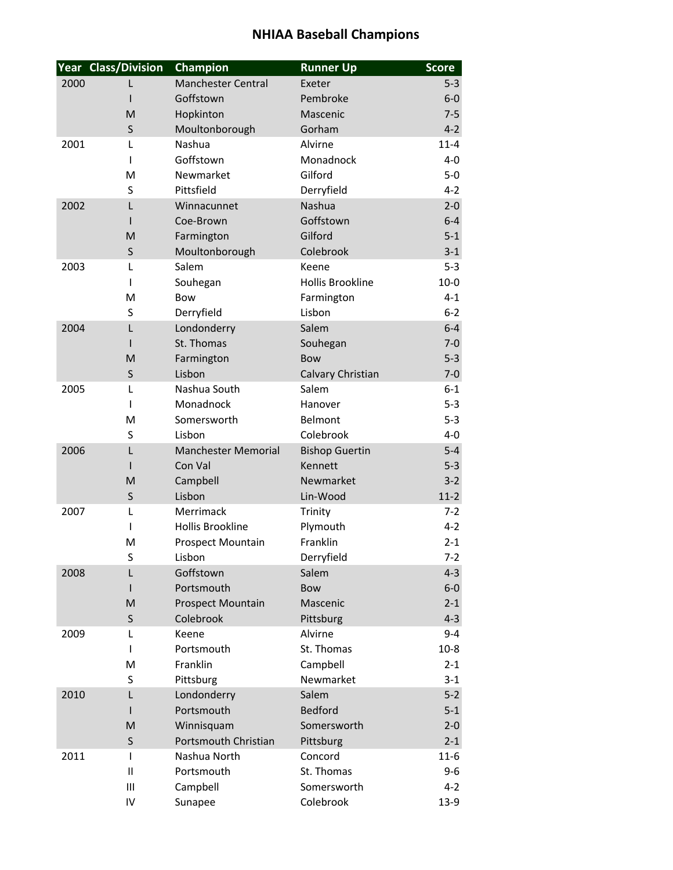|      | <b>Year Class/Division</b> | Champion                           | <b>Runner Up</b>        | <b>Score</b>      |
|------|----------------------------|------------------------------------|-------------------------|-------------------|
| 2000 |                            | <b>Manchester Central</b>          | Exeter                  | $5 - 3$           |
|      | ı                          | Goffstown                          | Pembroke                | $6-0$             |
|      | M                          | Hopkinton                          | Mascenic                | $7 - 5$           |
|      | S                          | Moultonborough                     | Gorham                  | $4 - 2$           |
| 2001 | L                          | Nashua                             | Alvirne                 | $11 - 4$          |
|      | I                          | Goffstown                          | Monadnock               | $4-0$             |
|      | M                          | Newmarket                          | Gilford                 | $5-0$             |
|      | S                          | Pittsfield                         | Derryfield              | $4 - 2$           |
| 2002 | L                          | Winnacunnet                        | Nashua                  | $2 - 0$           |
|      |                            | Coe-Brown                          | Goffstown               | $6 - 4$           |
|      | M                          | Farmington                         | Gilford                 | $5 - 1$           |
|      | S                          | Moultonborough                     | Colebrook               | $3 - 1$           |
| 2003 | L                          | Salem                              | Keene                   | $5 - 3$           |
|      | I                          | Souhegan                           | <b>Hollis Brookline</b> | $10-0$            |
|      | M                          | Bow                                | Farmington              | $4 - 1$           |
|      | S                          | Derryfield                         | Lisbon                  | $6 - 2$           |
| 2004 | L                          | Londonderry                        | Salem                   | $6 - 4$           |
|      | $\mathsf{I}$               | St. Thomas                         | Souhegan                | $7 - 0$           |
|      | M                          | Farmington                         | <b>Bow</b>              | $5 - 3$           |
|      | S                          | Lisbon                             | Calvary Christian       | $7 - 0$           |
| 2005 | L                          | Nashua South                       | Salem                   | $6 - 1$           |
|      | I                          | Monadnock                          | Hanover                 | $5 - 3$           |
|      | M                          | Somersworth                        | Belmont                 | $5 - 3$           |
|      | S                          | Lisbon                             | Colebrook               | $4 - 0$           |
| 2006 | L                          | <b>Manchester Memorial</b>         | <b>Bishop Guertin</b>   | $5-4$             |
|      | I                          | Con Val                            | Kennett                 | $5 - 3$           |
|      | M                          | Campbell                           | Newmarket               | $3 - 2$           |
|      | S                          | Lisbon<br>Merrimack                | Lin-Wood                | $11-2$<br>$7 - 2$ |
| 2007 | L<br>I                     | <b>Hollis Brookline</b>            | Trinity                 | $4 - 2$           |
|      | M                          |                                    | Plymouth<br>Franklin    | $2 - 1$           |
|      | S                          | <b>Prospect Mountain</b><br>Lisbon | Derryfield              | $7-2$             |
| 2008 | L                          | Goffstown                          | Salem                   | $4 - 3$           |
|      | $\mathbf{I}$               | Portsmouth                         | <b>Bow</b>              | $6-0$             |
|      | M                          | <b>Prospect Mountain</b>           | Mascenic                | $2 - 1$           |
|      | S                          | Colebrook                          | Pittsburg               | $4 - 3$           |
| 2009 | L                          | Keene                              | Alvirne                 | $9 - 4$           |
|      | I                          | Portsmouth                         | St. Thomas              | $10-8$            |
|      | M                          | Franklin                           | Campbell                | $2 - 1$           |
|      | S                          | Pittsburg                          | Newmarket               | $3 - 1$           |
| 2010 | L                          | Londonderry                        | Salem                   | $5-2$             |
|      |                            | Portsmouth                         | <b>Bedford</b>          | $5 - 1$           |
|      | M                          | Winnisquam                         | Somersworth             | $2 - 0$           |
|      | S                          | Portsmouth Christian               | Pittsburg               | $2 - 1$           |
| 2011 | I                          | Nashua North                       | Concord                 | $11-6$            |
|      | Ш                          | Portsmouth                         | St. Thomas              | 9-6               |
|      | III                        | Campbell                           | Somersworth             | $4 - 2$           |
|      | IV                         | Sunapee                            | Colebrook               | $13-9$            |